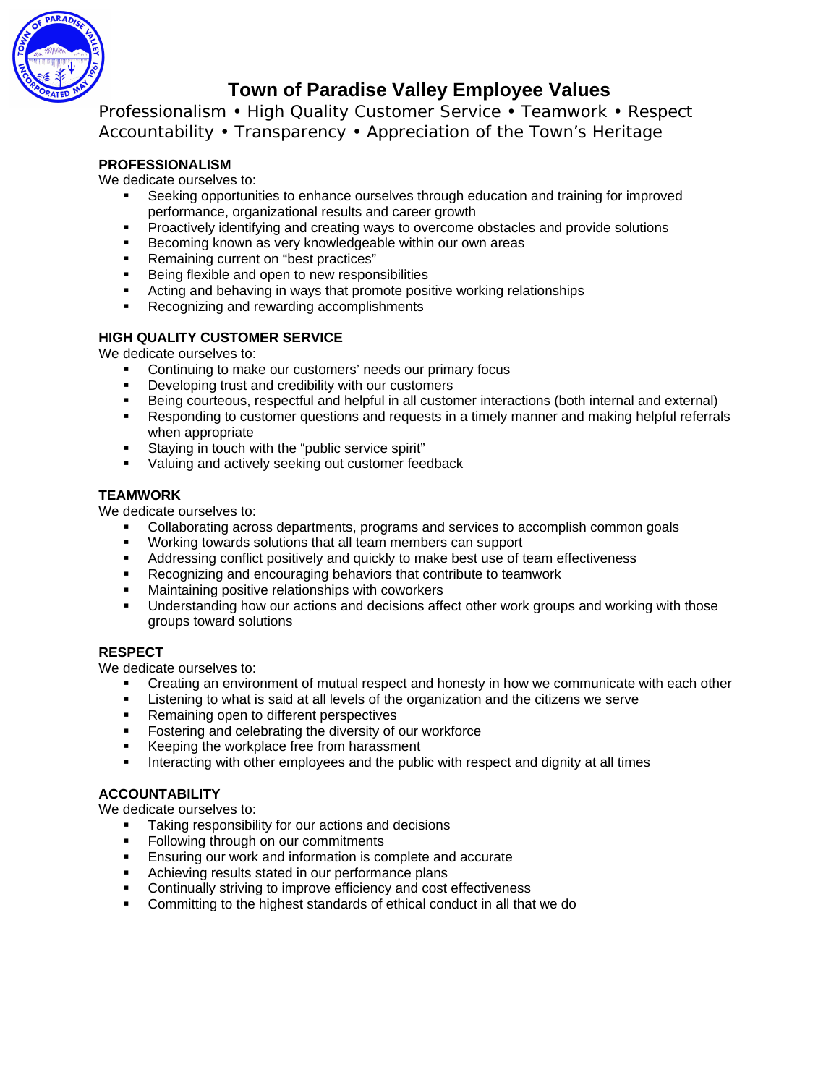

# **Town of Paradise Valley Employee Values**

Professionalism • High Quality Customer Service • Teamwork • Respect Accountability • Transparency • Appreciation of the Town's Heritage

# **PROFESSIONALISM**

We dedicate ourselves to:

- Seeking opportunities to enhance ourselves through education and training for improved performance, organizational results and career growth
- **Proactively identifying and creating ways to overcome obstacles and provide solutions**
- **Becoming known as very knowledgeable within our own areas**
- **Remaining current on "best practices"**<br>**Report Best property between to new resport**
- Being flexible and open to new responsibilities
- **Acting and behaving in ways that promote positive working relationships**
- Recognizing and rewarding accomplishments

# **HIGH QUALITY CUSTOMER SERVICE**

We dedicate ourselves to:

- Continuing to make our customers' needs our primary focus
- Developing trust and credibility with our customers
- Being courteous, respectful and helpful in all customer interactions (both internal and external)
- Responding to customer questions and requests in a timely manner and making helpful referrals when appropriate
- **Staying in touch with the "public service spirit"**
- **Valuing and actively seeking out customer feedback**

### **TEAMWORK**

We dedicate ourselves to:

- Collaborating across departments, programs and services to accomplish common goals
- Working towards solutions that all team members can support
- **Addressing conflict positively and quickly to make best use of team effectiveness**
- Recognizing and encouraging behaviors that contribute to teamwork
- Maintaining positive relationships with coworkers
- Understanding how our actions and decisions affect other work groups and working with those groups toward solutions

#### **RESPECT**

We dedicate ourselves to:

- Creating an environment of mutual respect and honesty in how we communicate with each other
- Listening to what is said at all levels of the organization and the citizens we serve
- **Remaining open to different perspectives**
- Fostering and celebrating the diversity of our workforce
- Keeping the workplace free from harassment
- **Interacting with other employees and the public with respect and dignity at all times**

### **ACCOUNTABILITY**

We dedicate ourselves to:

- Taking responsibility for our actions and decisions
- Following through on our commitments
- Ensuring our work and information is complete and accurate
- **EXEDENT** Achieving results stated in our performance plans
- **EXECONTIFY CONTINUALLY** Striving to improve efficiency and cost effectiveness
- Committing to the highest standards of ethical conduct in all that we do